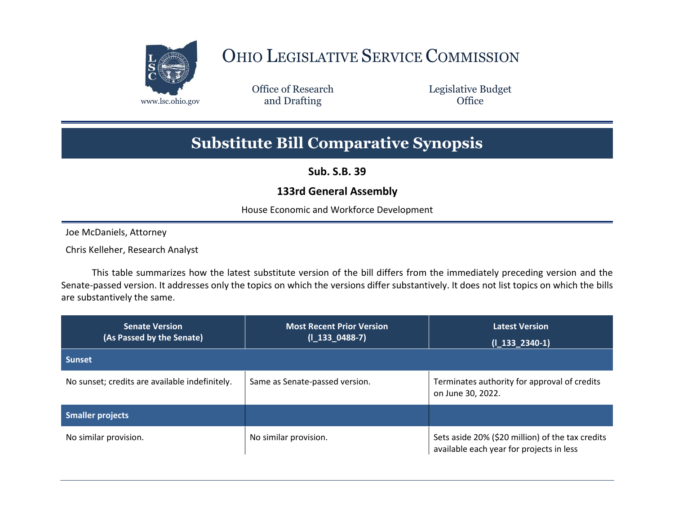

## OHIO LEGISLATIVE SERVICE COMMISSION

Office of Research www.lsc.ohio.gov **and Drafting Office** 

Legislative Budget

## **Substitute Bill Comparative Synopsis**

**Sub. S.B. 39**

## **133rd General Assembly**

House Economic and Workforce Development

Joe McDaniels, Attorney

Chris Kelleher, Research Analyst

This table summarizes how the latest substitute version of the bill differs from the immediately preceding version and the Senate-passed version. It addresses only the topics on which the versions differ substantively. It does not list topics on which the bills are substantively the same.

| <b>Senate Version</b><br>(As Passed by the Senate) | <b>Most Recent Prior Version</b><br>$(I_133_0488-7)$ | <b>Latest Version</b><br>$(I_133_2340-1)$                                                    |
|----------------------------------------------------|------------------------------------------------------|----------------------------------------------------------------------------------------------|
| <b>Sunset</b>                                      |                                                      |                                                                                              |
| No sunset; credits are available indefinitely.     | Same as Senate-passed version.                       | Terminates authority for approval of credits<br>on June 30, 2022.                            |
| Smaller projects                                   |                                                      |                                                                                              |
| No similar provision.                              | No similar provision.                                | Sets aside 20% (\$20 million) of the tax credits<br>available each year for projects in less |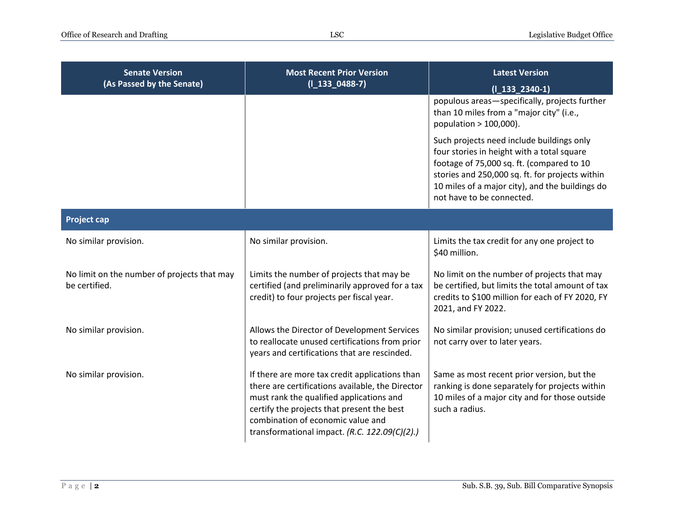| <b>Senate Version</b><br>(As Passed by the Senate)           | <b>Most Recent Prior Version</b><br>$(I_133_0488-7)$                                                                                                                                                                                                                               | <b>Latest Version</b><br>$(I_133_2340-1)$                                                                                                                                                                                                                               |
|--------------------------------------------------------------|------------------------------------------------------------------------------------------------------------------------------------------------------------------------------------------------------------------------------------------------------------------------------------|-------------------------------------------------------------------------------------------------------------------------------------------------------------------------------------------------------------------------------------------------------------------------|
|                                                              |                                                                                                                                                                                                                                                                                    | populous areas-specifically, projects further<br>than 10 miles from a "major city" (i.e.,<br>population > 100,000).                                                                                                                                                     |
|                                                              |                                                                                                                                                                                                                                                                                    | Such projects need include buildings only<br>four stories in height with a total square<br>footage of 75,000 sq. ft. (compared to 10<br>stories and 250,000 sq. ft. for projects within<br>10 miles of a major city), and the buildings do<br>not have to be connected. |
| <b>Project cap</b>                                           |                                                                                                                                                                                                                                                                                    |                                                                                                                                                                                                                                                                         |
| No similar provision.                                        | No similar provision.                                                                                                                                                                                                                                                              | Limits the tax credit for any one project to<br>\$40 million.                                                                                                                                                                                                           |
| No limit on the number of projects that may<br>be certified. | Limits the number of projects that may be<br>certified (and preliminarily approved for a tax<br>credit) to four projects per fiscal year.                                                                                                                                          | No limit on the number of projects that may<br>be certified, but limits the total amount of tax<br>credits to \$100 million for each of FY 2020, FY<br>2021, and FY 2022.                                                                                               |
| No similar provision.                                        | Allows the Director of Development Services<br>to reallocate unused certifications from prior<br>years and certifications that are rescinded.                                                                                                                                      | No similar provision; unused certifications do<br>not carry over to later years.                                                                                                                                                                                        |
| No similar provision.                                        | If there are more tax credit applications than<br>there are certifications available, the Director<br>must rank the qualified applications and<br>certify the projects that present the best<br>combination of economic value and<br>transformational impact. (R.C. 122.09(C)(2).) | Same as most recent prior version, but the<br>ranking is done separately for projects within<br>10 miles of a major city and for those outside<br>such a radius.                                                                                                        |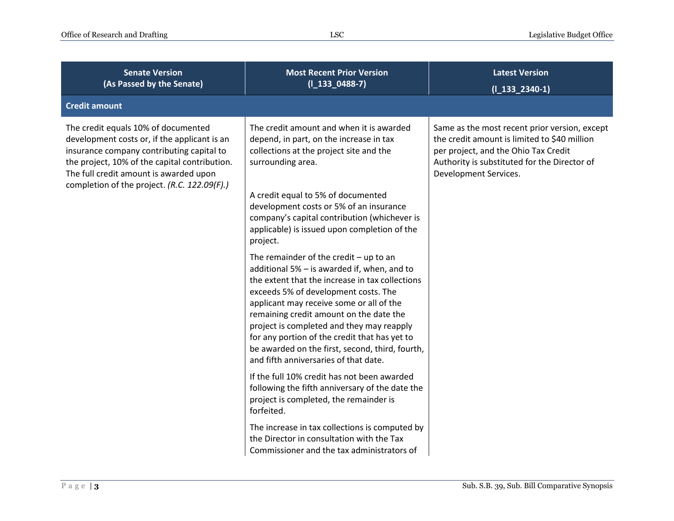| <b>Senate Version</b><br>(As Passed by the Senate)                                                                                                                                                                                                                          | <b>Most Recent Prior Version</b><br>$(I_133_0488-7)$                                                                                                                                                                                                                                                                                                                                                                                                                | <b>Latest Version</b><br>$(I_133_2340-1)$                                                                                                                                                                      |
|-----------------------------------------------------------------------------------------------------------------------------------------------------------------------------------------------------------------------------------------------------------------------------|---------------------------------------------------------------------------------------------------------------------------------------------------------------------------------------------------------------------------------------------------------------------------------------------------------------------------------------------------------------------------------------------------------------------------------------------------------------------|----------------------------------------------------------------------------------------------------------------------------------------------------------------------------------------------------------------|
| <b>Credit amount</b>                                                                                                                                                                                                                                                        |                                                                                                                                                                                                                                                                                                                                                                                                                                                                     |                                                                                                                                                                                                                |
| The credit equals 10% of documented<br>development costs or, if the applicant is an<br>insurance company contributing capital to<br>the project, 10% of the capital contribution.<br>The full credit amount is awarded upon<br>completion of the project. (R.C. 122.09(F).) | The credit amount and when it is awarded<br>depend, in part, on the increase in tax<br>collections at the project site and the<br>surrounding area.<br>A credit equal to 5% of documented<br>development costs or 5% of an insurance<br>company's capital contribution (whichever is<br>applicable) is issued upon completion of the<br>project.                                                                                                                    | Same as the most recent prior version, except<br>the credit amount is limited to \$40 million<br>per project, and the Ohio Tax Credit<br>Authority is substituted for the Director of<br>Development Services. |
|                                                                                                                                                                                                                                                                             | The remainder of the credit $-$ up to an<br>additional 5% - is awarded if, when, and to<br>the extent that the increase in tax collections<br>exceeds 5% of development costs. The<br>applicant may receive some or all of the<br>remaining credit amount on the date the<br>project is completed and they may reapply<br>for any portion of the credit that has yet to<br>be awarded on the first, second, third, fourth,<br>and fifth anniversaries of that date. |                                                                                                                                                                                                                |
|                                                                                                                                                                                                                                                                             | If the full 10% credit has not been awarded<br>following the fifth anniversary of the date the<br>project is completed, the remainder is<br>forfeited.                                                                                                                                                                                                                                                                                                              |                                                                                                                                                                                                                |
|                                                                                                                                                                                                                                                                             | The increase in tax collections is computed by<br>the Director in consultation with the Tax<br>Commissioner and the tax administrators of                                                                                                                                                                                                                                                                                                                           |                                                                                                                                                                                                                |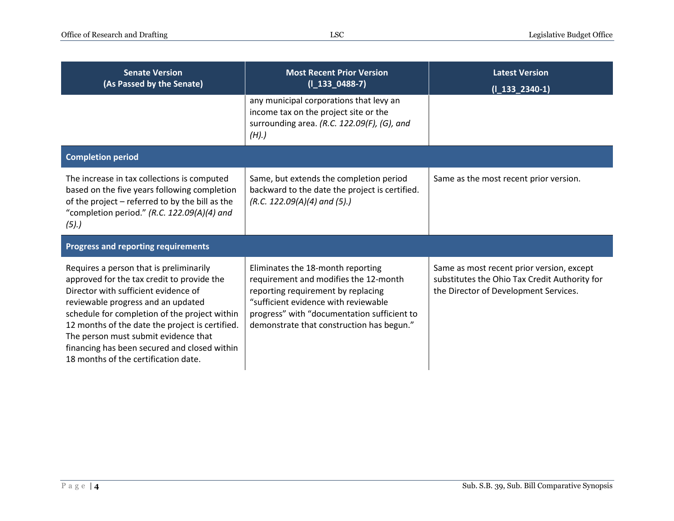| <b>Senate Version</b><br>(As Passed by the Senate)                                                                                                                                                                                                                                                                                                                                                      | <b>Most Recent Prior Version</b><br>$(I_133_0488-7)$                                                                                                                                                                                                 | <b>Latest Version</b><br>$(1_133_2340-1)$                                                                                           |
|---------------------------------------------------------------------------------------------------------------------------------------------------------------------------------------------------------------------------------------------------------------------------------------------------------------------------------------------------------------------------------------------------------|------------------------------------------------------------------------------------------------------------------------------------------------------------------------------------------------------------------------------------------------------|-------------------------------------------------------------------------------------------------------------------------------------|
|                                                                                                                                                                                                                                                                                                                                                                                                         | any municipal corporations that levy an<br>income tax on the project site or the<br>surrounding area. (R.C. 122.09(F), (G), and<br>(H).                                                                                                              |                                                                                                                                     |
| <b>Completion period</b>                                                                                                                                                                                                                                                                                                                                                                                |                                                                                                                                                                                                                                                      |                                                                                                                                     |
| The increase in tax collections is computed<br>based on the five years following completion<br>of the project - referred to by the bill as the<br>"completion period." (R.C. 122.09(A)(4) and<br>(5).                                                                                                                                                                                                   | Same, but extends the completion period<br>backward to the date the project is certified.<br>$(R.C. 122.09(A)(4)$ and $(5).$                                                                                                                         | Same as the most recent prior version.                                                                                              |
| <b>Progress and reporting requirements</b>                                                                                                                                                                                                                                                                                                                                                              |                                                                                                                                                                                                                                                      |                                                                                                                                     |
| Requires a person that is preliminarily<br>approved for the tax credit to provide the<br>Director with sufficient evidence of<br>reviewable progress and an updated<br>schedule for completion of the project within<br>12 months of the date the project is certified.<br>The person must submit evidence that<br>financing has been secured and closed within<br>18 months of the certification date. | Eliminates the 18-month reporting<br>requirement and modifies the 12-month<br>reporting requirement by replacing<br>"sufficient evidence with reviewable<br>progress" with "documentation sufficient to<br>demonstrate that construction has begun." | Same as most recent prior version, except<br>substitutes the Ohio Tax Credit Authority for<br>the Director of Development Services. |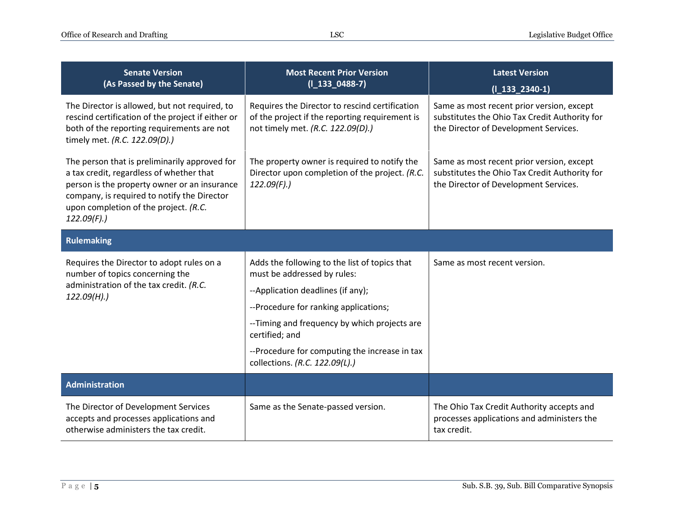| <b>Senate Version</b><br>(As Passed by the Senate)                                                                                                                                                                                                  | <b>Most Recent Prior Version</b><br>$(I_133_0488-7)$                                                                                                                                                                                                                                                            | <b>Latest Version</b><br>$(I_133_2340-1)$                                                                                           |
|-----------------------------------------------------------------------------------------------------------------------------------------------------------------------------------------------------------------------------------------------------|-----------------------------------------------------------------------------------------------------------------------------------------------------------------------------------------------------------------------------------------------------------------------------------------------------------------|-------------------------------------------------------------------------------------------------------------------------------------|
| The Director is allowed, but not required, to<br>rescind certification of the project if either or<br>both of the reporting requirements are not<br>timely met. (R.C. 122.09(D).)                                                                   | Requires the Director to rescind certification<br>of the project if the reporting requirement is<br>not timely met. (R.C. 122.09(D).)                                                                                                                                                                           | Same as most recent prior version, except<br>substitutes the Ohio Tax Credit Authority for<br>the Director of Development Services. |
| The person that is preliminarily approved for<br>a tax credit, regardless of whether that<br>person is the property owner or an insurance<br>company, is required to notify the Director<br>upon completion of the project. (R.C.<br>$122.09(F)$ .) | The property owner is required to notify the<br>Director upon completion of the project. (R.C.<br>122.09(F).                                                                                                                                                                                                    | Same as most recent prior version, except<br>substitutes the Ohio Tax Credit Authority for<br>the Director of Development Services. |
| <b>Rulemaking</b>                                                                                                                                                                                                                                   |                                                                                                                                                                                                                                                                                                                 |                                                                                                                                     |
| Requires the Director to adopt rules on a<br>number of topics concerning the<br>administration of the tax credit. (R.C.<br>122.09(H).                                                                                                               | Adds the following to the list of topics that<br>must be addressed by rules:<br>--Application deadlines (if any);<br>--Procedure for ranking applications;<br>--Timing and frequency by which projects are<br>certified; and<br>--Procedure for computing the increase in tax<br>collections. (R.C. 122.09(L).) | Same as most recent version.                                                                                                        |
| <b>Administration</b>                                                                                                                                                                                                                               |                                                                                                                                                                                                                                                                                                                 |                                                                                                                                     |
| The Director of Development Services<br>accepts and processes applications and<br>otherwise administers the tax credit.                                                                                                                             | Same as the Senate-passed version.                                                                                                                                                                                                                                                                              | The Ohio Tax Credit Authority accepts and<br>processes applications and administers the<br>tax credit.                              |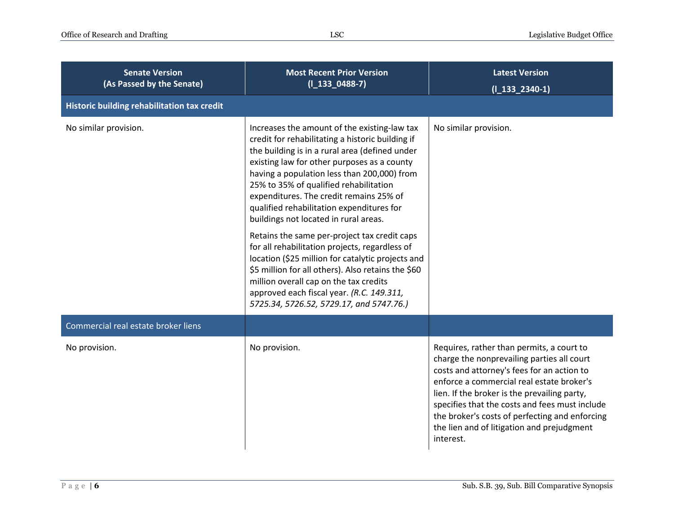| <b>Senate Version</b><br>(As Passed by the Senate)<br>Historic building rehabilitation tax credit | <b>Most Recent Prior Version</b><br>$(I_133_0488-7)$                                                                                                                                                                                                                                                                                                                                                                                                                                                                                                                                                                                                                                                                                                                        | <b>Latest Version</b><br>$(I_133_2340-1)$                                                                                                                                                                                                                                                                                                                                                         |
|---------------------------------------------------------------------------------------------------|-----------------------------------------------------------------------------------------------------------------------------------------------------------------------------------------------------------------------------------------------------------------------------------------------------------------------------------------------------------------------------------------------------------------------------------------------------------------------------------------------------------------------------------------------------------------------------------------------------------------------------------------------------------------------------------------------------------------------------------------------------------------------------|---------------------------------------------------------------------------------------------------------------------------------------------------------------------------------------------------------------------------------------------------------------------------------------------------------------------------------------------------------------------------------------------------|
| No similar provision.                                                                             | Increases the amount of the existing-law tax<br>credit for rehabilitating a historic building if<br>the building is in a rural area (defined under<br>existing law for other purposes as a county<br>having a population less than 200,000) from<br>25% to 35% of qualified rehabilitation<br>expenditures. The credit remains 25% of<br>qualified rehabilitation expenditures for<br>buildings not located in rural areas.<br>Retains the same per-project tax credit caps<br>for all rehabilitation projects, regardless of<br>location (\$25 million for catalytic projects and<br>\$5 million for all others). Also retains the \$60<br>million overall cap on the tax credits<br>approved each fiscal year. (R.C. 149.311,<br>5725.34, 5726.52, 5729.17, and 5747.76.) | No similar provision.                                                                                                                                                                                                                                                                                                                                                                             |
| Commercial real estate broker liens                                                               |                                                                                                                                                                                                                                                                                                                                                                                                                                                                                                                                                                                                                                                                                                                                                                             |                                                                                                                                                                                                                                                                                                                                                                                                   |
| No provision.                                                                                     | No provision.                                                                                                                                                                                                                                                                                                                                                                                                                                                                                                                                                                                                                                                                                                                                                               | Requires, rather than permits, a court to<br>charge the nonprevailing parties all court<br>costs and attorney's fees for an action to<br>enforce a commercial real estate broker's<br>lien. If the broker is the prevailing party,<br>specifies that the costs and fees must include<br>the broker's costs of perfecting and enforcing<br>the lien and of litigation and prejudgment<br>interest. |